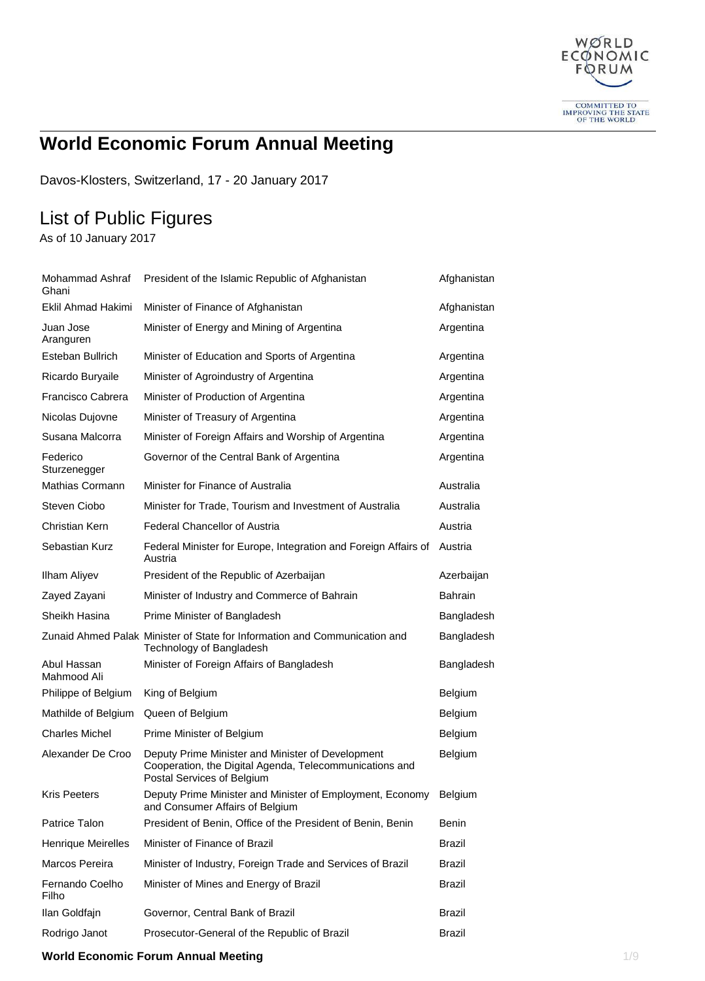

# **World Economic Forum Annual Meeting**

Davos-Klosters, Switzerland, 17 - 20 January 2017

## List of Public Figures

As of 10 January 2017

| Mohammad Ashraf<br>Ghani   | President of the Islamic Republic of Afghanistan                                                                                           | Afghanistan    |
|----------------------------|--------------------------------------------------------------------------------------------------------------------------------------------|----------------|
| <b>Eklil Ahmad Hakimi</b>  | Minister of Finance of Afghanistan                                                                                                         | Afghanistan    |
| Juan Jose<br>Aranguren     | Minister of Energy and Mining of Argentina                                                                                                 | Argentina      |
| Esteban Bullrich           | Minister of Education and Sports of Argentina                                                                                              | Argentina      |
| Ricardo Buryaile           | Minister of Agroindustry of Argentina                                                                                                      | Argentina      |
| Francisco Cabrera          | Minister of Production of Argentina                                                                                                        | Argentina      |
| Nicolas Dujovne            | Minister of Treasury of Argentina                                                                                                          | Argentina      |
| Susana Malcorra            | Minister of Foreign Affairs and Worship of Argentina                                                                                       | Argentina      |
| Federico<br>Sturzenegger   | Governor of the Central Bank of Argentina                                                                                                  | Argentina      |
| Mathias Cormann            | Minister for Finance of Australia                                                                                                          | Australia      |
| Steven Ciobo               | Minister for Trade, Tourism and Investment of Australia                                                                                    | Australia      |
| Christian Kern             | <b>Federal Chancellor of Austria</b>                                                                                                       | Austria        |
| Sebastian Kurz             | Federal Minister for Europe, Integration and Foreign Affairs of<br>Austria                                                                 | Austria        |
| <b>Ilham Aliyev</b>        | President of the Republic of Azerbaijan                                                                                                    | Azerbaijan     |
| Zayed Zayani               | Minister of Industry and Commerce of Bahrain                                                                                               | <b>Bahrain</b> |
| Sheikh Hasina              | Prime Minister of Bangladesh                                                                                                               | Bangladesh     |
|                            | Zunaid Ahmed Palak Minister of State for Information and Communication and<br>Technology of Bangladesh                                     | Bangladesh     |
| Abul Hassan<br>Mahmood Ali | Minister of Foreign Affairs of Bangladesh                                                                                                  | Bangladesh     |
| Philippe of Belgium        | King of Belgium                                                                                                                            | Belgium        |
| Mathilde of Belgium        | Queen of Belgium                                                                                                                           | Belgium        |
| <b>Charles Michel</b>      | Prime Minister of Belgium                                                                                                                  | Belgium        |
| Alexander De Croo          | Deputy Prime Minister and Minister of Development<br>Cooperation, the Digital Agenda, Telecommunications and<br>Postal Services of Belgium | Belgium        |
| <b>Kris Peeters</b>        | Deputy Prime Minister and Minister of Employment, Economy<br>and Consumer Affairs of Belgium                                               | <b>Belgium</b> |
| Patrice Talon              | President of Benin, Office of the President of Benin, Benin                                                                                | Benin          |
| Henrique Meirelles         | Minister of Finance of Brazil                                                                                                              | <b>Brazil</b>  |
| Marcos Pereira             | Minister of Industry, Foreign Trade and Services of Brazil                                                                                 | Brazil         |
| Fernando Coelho<br>Filho   | Minister of Mines and Energy of Brazil                                                                                                     | <b>Brazil</b>  |
|                            |                                                                                                                                            |                |
| Ilan Goldfajn              | Governor, Central Bank of Brazil                                                                                                           | Brazil         |

#### **World Economic Forum Annual Meeting** 1/9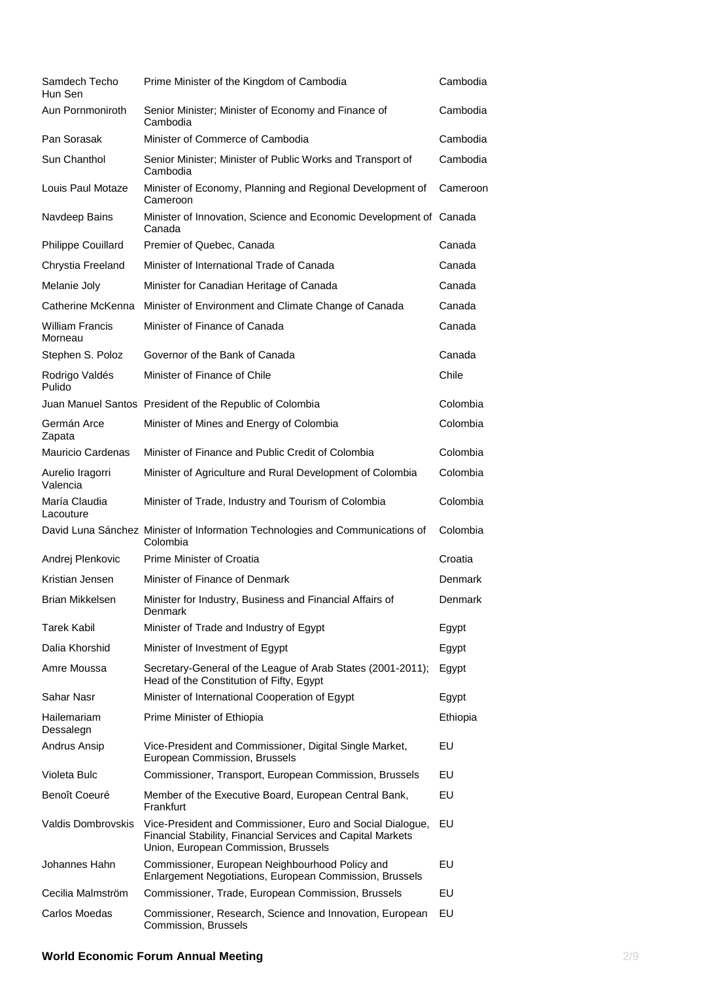| Samdech Techo<br>Hun Sen          | Prime Minister of the Kingdom of Cambodia                                                                                                                         | Cambodia |
|-----------------------------------|-------------------------------------------------------------------------------------------------------------------------------------------------------------------|----------|
| Aun Pornmoniroth                  | Senior Minister; Minister of Economy and Finance of<br>Cambodia                                                                                                   | Cambodia |
| Pan Sorasak                       | Minister of Commerce of Cambodia                                                                                                                                  | Cambodia |
| Sun Chanthol                      | Senior Minister; Minister of Public Works and Transport of<br>Cambodia                                                                                            | Cambodia |
| Louis Paul Motaze                 | Minister of Economy, Planning and Regional Development of<br>Cameroon                                                                                             | Cameroon |
| Navdeep Bains                     | Minister of Innovation, Science and Economic Development of Canada<br>Canada                                                                                      |          |
| Philippe Couillard                | Premier of Quebec, Canada                                                                                                                                         | Canada   |
| Chrystia Freeland                 | Minister of International Trade of Canada                                                                                                                         | Canada   |
| Melanie Joly                      | Minister for Canadian Heritage of Canada                                                                                                                          | Canada   |
| Catherine McKenna                 | Minister of Environment and Climate Change of Canada                                                                                                              | Canada   |
| <b>William Francis</b><br>Morneau | Minister of Finance of Canada                                                                                                                                     | Canada   |
| Stephen S. Poloz                  | Governor of the Bank of Canada                                                                                                                                    | Canada   |
| Rodrigo Valdés<br>Pulido          | Minister of Finance of Chile                                                                                                                                      | Chile    |
|                                   | Juan Manuel Santos President of the Republic of Colombia                                                                                                          | Colombia |
| Germán Arce<br>Zapata             | Minister of Mines and Energy of Colombia                                                                                                                          | Colombia |
| <b>Mauricio Cardenas</b>          | Minister of Finance and Public Credit of Colombia                                                                                                                 | Colombia |
| Aurelio Iragorri<br>Valencia      | Minister of Agriculture and Rural Development of Colombia                                                                                                         | Colombia |
| María Claudia<br>Lacouture        | Minister of Trade, Industry and Tourism of Colombia                                                                                                               | Colombia |
|                                   | David Luna Sánchez Minister of Information Technologies and Communications of<br>Colombia                                                                         | Colombia |
| Andrej Plenkovic                  | Prime Minister of Croatia                                                                                                                                         | Croatia  |
| Kristian Jensen                   | Minister of Finance of Denmark                                                                                                                                    | Denmark  |
| Brian Mikkelsen                   | Minister for Industry, Business and Financial Affairs of<br>Denmark                                                                                               | Denmark  |
| <b>Tarek Kabil</b>                | Minister of Trade and Industry of Egypt                                                                                                                           | Egypt    |
| Dalia Khorshid                    | Minister of Investment of Egypt                                                                                                                                   | Egypt    |
| Amre Moussa                       | Secretary-General of the League of Arab States (2001-2011);<br>Head of the Constitution of Fifty, Egypt                                                           | Egypt    |
| Sahar Nasr                        | Minister of International Cooperation of Egypt                                                                                                                    | Egypt    |
| Hailemariam<br>Dessalegn          | Prime Minister of Ethiopia                                                                                                                                        | Ethiopia |
| Andrus Ansip                      | Vice-President and Commissioner, Digital Single Market,<br>European Commission, Brussels                                                                          | EU       |
| Violeta Bulc                      | Commissioner, Transport, European Commission, Brussels                                                                                                            | EU       |
| Benoît Coeuré                     | Member of the Executive Board, European Central Bank,<br>Frankfurt                                                                                                | EU       |
| <b>Valdis Dombrovskis</b>         | Vice-President and Commissioner, Euro and Social Dialogue,<br>Financial Stability, Financial Services and Capital Markets<br>Union, European Commission, Brussels | EU       |
| Johannes Hahn                     | Commissioner, European Neighbourhood Policy and<br>Enlargement Negotiations, European Commission, Brussels                                                        | EU       |
| Cecilia Malmström                 | Commissioner, Trade, European Commission, Brussels                                                                                                                | EU       |
| Carlos Moedas                     | Commissioner, Research, Science and Innovation, European<br>Commission, Brussels                                                                                  | EU       |

### **World Economic Forum Annual Meeting** 2/9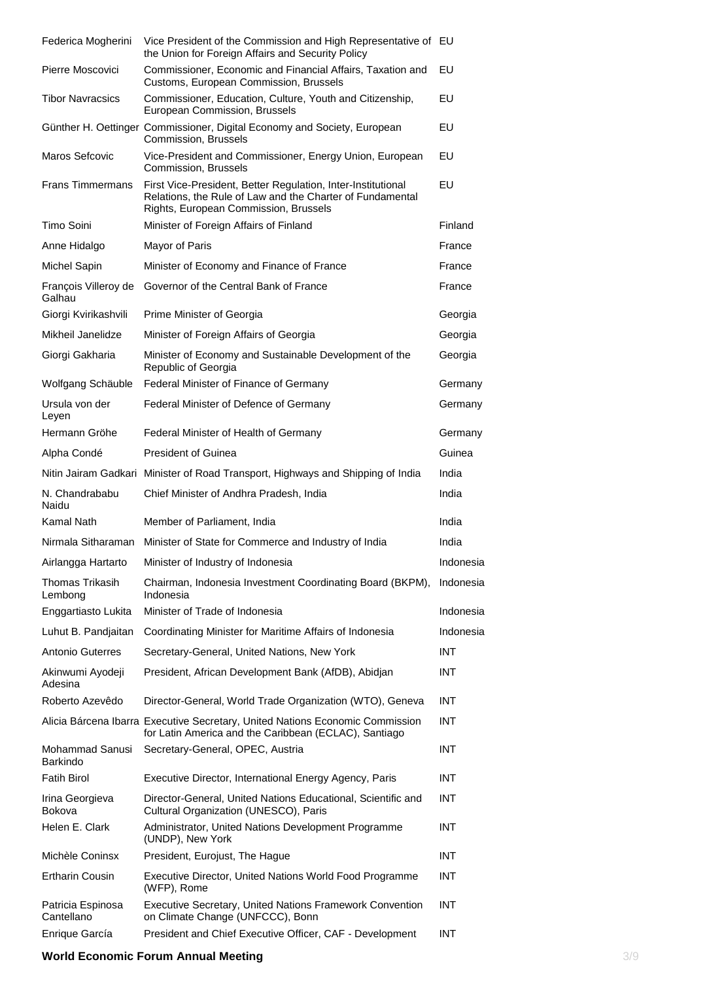| Federica Mogherini                | Vice President of the Commission and High Representative of EU<br>the Union for Foreign Affairs and Security Policy                                                |            |
|-----------------------------------|--------------------------------------------------------------------------------------------------------------------------------------------------------------------|------------|
| Pierre Moscovici                  | Commissioner, Economic and Financial Affairs, Taxation and<br>Customs, European Commission, Brussels                                                               | EU         |
| <b>Tibor Navracsics</b>           | Commissioner, Education, Culture, Youth and Citizenship,<br>European Commission, Brussels                                                                          | EU         |
|                                   | Günther H. Oettinger Commissioner, Digital Economy and Society, European<br>Commission, Brussels                                                                   | EU         |
| Maros Sefcovic                    | Vice-President and Commissioner, Energy Union, European<br>Commission, Brussels                                                                                    | EU         |
| <b>Frans Timmermans</b>           | First Vice-President, Better Regulation, Inter-Institutional<br>Relations, the Rule of Law and the Charter of Fundamental<br>Rights, European Commission, Brussels | EU         |
| Timo Soini                        | Minister of Foreign Affairs of Finland                                                                                                                             | Finland    |
| Anne Hidalgo                      | Mayor of Paris                                                                                                                                                     | France     |
| Michel Sapin                      | Minister of Economy and Finance of France                                                                                                                          | France     |
| François Villeroy de<br>Galhau    | Governor of the Central Bank of France                                                                                                                             | France     |
| Giorgi Kvirikashvili              | Prime Minister of Georgia                                                                                                                                          | Georgia    |
| Mikheil Janelidze                 | Minister of Foreign Affairs of Georgia                                                                                                                             | Georgia    |
| Giorgi Gakharia                   | Minister of Economy and Sustainable Development of the<br>Republic of Georgia                                                                                      | Georgia    |
| Wolfgang Schäuble                 | Federal Minister of Finance of Germany                                                                                                                             | Germany    |
| Ursula von der<br>Leyen           | Federal Minister of Defence of Germany                                                                                                                             | Germany    |
| Hermann Gröhe                     | Federal Minister of Health of Germany                                                                                                                              | Germany    |
| Alpha Condé                       | <b>President of Guinea</b>                                                                                                                                         | Guinea     |
| Nitin Jairam Gadkari              | Minister of Road Transport, Highways and Shipping of India                                                                                                         | India      |
|                                   |                                                                                                                                                                    |            |
| N. Chandrababu<br>Naidu           | Chief Minister of Andhra Pradesh, India                                                                                                                            | India      |
| Kamal Nath                        | Member of Parliament, India                                                                                                                                        | India      |
| Nirmala Sitharaman                | Minister of State for Commerce and Industry of India                                                                                                               | India      |
| Airlangga Hartarto                | Minister of Industry of Indonesia                                                                                                                                  | Indonesia  |
| <b>Thomas Trikasih</b><br>Lembong | Chairman, Indonesia Investment Coordinating Board (BKPM),<br>Indonesia                                                                                             | Indonesia  |
| Enggartiasto Lukita               | Minister of Trade of Indonesia                                                                                                                                     | Indonesia  |
| Luhut B. Pandjaitan               | Coordinating Minister for Maritime Affairs of Indonesia                                                                                                            | Indonesia  |
| <b>Antonio Guterres</b>           | Secretary-General, United Nations, New York                                                                                                                        | <b>INT</b> |
| Akinwumi Ayodeji<br>Adesina       | President, African Development Bank (AfDB), Abidjan                                                                                                                | <b>INT</b> |
| Roberto Azevêdo                   | Director-General, World Trade Organization (WTO), Geneva                                                                                                           | <b>INT</b> |
|                                   | Alicia Bárcena Ibarra Executive Secretary, United Nations Economic Commission<br>for Latin America and the Caribbean (ECLAC), Santiago                             | <b>INT</b> |
| Mohammad Sanusi<br>Barkindo       | Secretary-General, OPEC, Austria                                                                                                                                   | <b>INT</b> |
| <b>Fatih Birol</b>                | Executive Director, International Energy Agency, Paris                                                                                                             | INT.       |
| Irina Georgieva<br>Bokova         | Director-General, United Nations Educational, Scientific and<br>Cultural Organization (UNESCO), Paris                                                              | <b>INT</b> |
| Helen E. Clark                    | Administrator, United Nations Development Programme<br>(UNDP), New York                                                                                            | INT.       |
| Michèle Coninsx                   | President, Eurojust, The Hague                                                                                                                                     | <b>INT</b> |
| <b>Ertharin Cousin</b>            | Executive Director, United Nations World Food Programme<br>(WFP), Rome                                                                                             | <b>INT</b> |
| Patricia Espinosa<br>Cantellano   | Executive Secretary, United Nations Framework Convention<br>on Climate Change (UNFCCC), Bonn                                                                       | <b>INT</b> |

### **World Economic Forum Annual Meeting** 3/9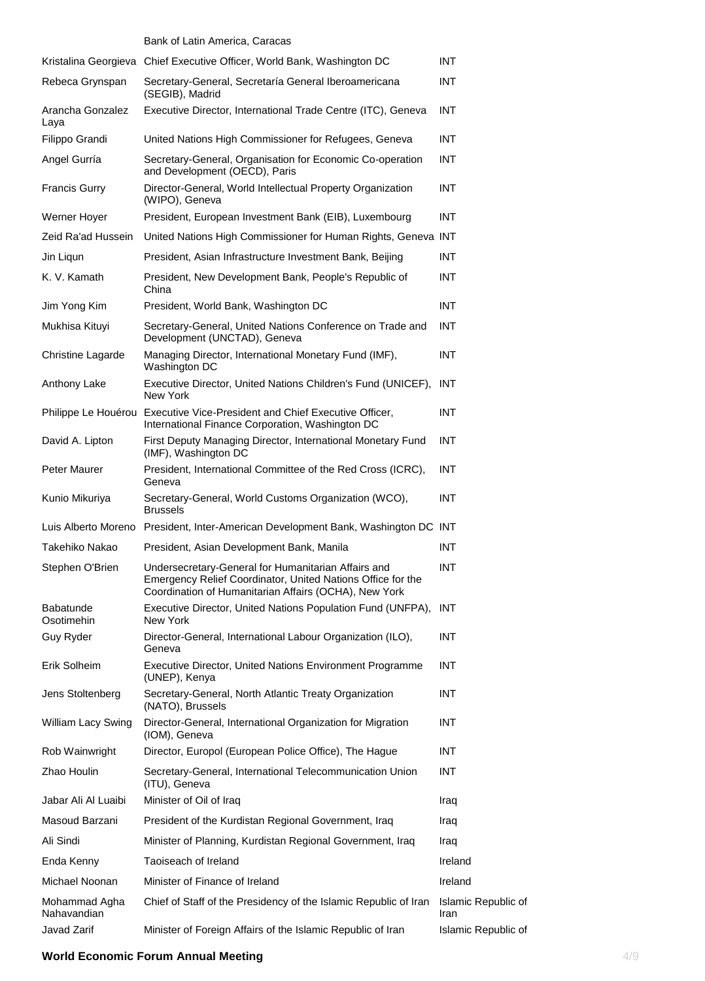|                              | Bank of Latin America, Caracas                                                                                                                                              |                             |
|------------------------------|-----------------------------------------------------------------------------------------------------------------------------------------------------------------------------|-----------------------------|
|                              | Kristalina Georgieva Chief Executive Officer, World Bank, Washington DC                                                                                                     | <b>INT</b>                  |
| Rebeca Grynspan              | Secretary-General, Secretaría General Iberoamericana<br>(SEGIB), Madrid                                                                                                     | <b>INT</b>                  |
| Arancha Gonzalez<br>Laya     | Executive Director, International Trade Centre (ITC), Geneva                                                                                                                | <b>INT</b>                  |
| Filippo Grandi               | United Nations High Commissioner for Refugees, Geneva                                                                                                                       | <b>INT</b>                  |
| Angel Gurría                 | Secretary-General, Organisation for Economic Co-operation<br>and Development (OECD), Paris                                                                                  | <b>INT</b>                  |
| <b>Francis Gurry</b>         | Director-General, World Intellectual Property Organization<br>(WIPO), Geneva                                                                                                | <b>INT</b>                  |
| Werner Hoyer                 | President, European Investment Bank (EIB), Luxembourg                                                                                                                       | <b>INT</b>                  |
| Zeid Ra'ad Hussein           | United Nations High Commissioner for Human Rights, Geneva INT                                                                                                               |                             |
| Jin Ligun                    | President, Asian Infrastructure Investment Bank, Beijing                                                                                                                    | <b>INT</b>                  |
| K. V. Kamath                 | President, New Development Bank, People's Republic of<br>China                                                                                                              | <b>INT</b>                  |
| Jim Yong Kim                 | President, World Bank, Washington DC                                                                                                                                        | <b>INT</b>                  |
| Mukhisa Kituyi               | Secretary-General, United Nations Conference on Trade and<br>Development (UNCTAD), Geneva                                                                                   | <b>INT</b>                  |
| <b>Christine Lagarde</b>     | Managing Director, International Monetary Fund (IMF),<br>Washington DC                                                                                                      | <b>INT</b>                  |
| Anthony Lake                 | Executive Director, United Nations Children's Fund (UNICEF), INT<br>New York                                                                                                |                             |
|                              | Philippe Le Houérou Executive Vice-President and Chief Executive Officer,<br>International Finance Corporation, Washington DC                                               | <b>INT</b>                  |
| David A. Lipton              | First Deputy Managing Director, International Monetary Fund<br>(IMF), Washington DC                                                                                         | <b>INT</b>                  |
| Peter Maurer                 | President, International Committee of the Red Cross (ICRC),<br>Geneva                                                                                                       | <b>INT</b>                  |
| Kunio Mikuriya               | Secretary-General, World Customs Organization (WCO),<br><b>Brussels</b>                                                                                                     | <b>INT</b>                  |
|                              | Luis Alberto Moreno President, Inter-American Development Bank, Washington DC INT                                                                                           |                             |
| Takehiko Nakao               | President, Asian Development Bank, Manila                                                                                                                                   | <b>INT</b>                  |
| Stephen O'Brien              | Undersecretary-General for Humanitarian Affairs and<br>Emergency Relief Coordinator, United Nations Office for the<br>Coordination of Humanitarian Affairs (OCHA), New York | <b>INT</b>                  |
| Babatunde<br>Osotimehin      | Executive Director, United Nations Population Fund (UNFPA),<br>New York                                                                                                     | INT                         |
| Guy Ryder                    | Director-General, International Labour Organization (ILO),<br>Geneva                                                                                                        | <b>INT</b>                  |
| Erik Solheim                 | Executive Director, United Nations Environment Programme<br>(UNEP), Kenya                                                                                                   | <b>INT</b>                  |
| Jens Stoltenberg             | Secretary-General, North Atlantic Treaty Organization<br>(NATO), Brussels                                                                                                   | <b>INT</b>                  |
| William Lacy Swing           | Director-General, International Organization for Migration<br>(IOM), Geneva                                                                                                 | <b>INT</b>                  |
| Rob Wainwright               | Director, Europol (European Police Office), The Hague                                                                                                                       | <b>INT</b>                  |
| Zhao Houlin                  | Secretary-General, International Telecommunication Union<br>(ITU), Geneva                                                                                                   | <b>INT</b>                  |
| Jabar Ali Al Luaibi          | Minister of Oil of Iraq                                                                                                                                                     | Iraq                        |
| Masoud Barzani               | President of the Kurdistan Regional Government, Iraq                                                                                                                        | Iraq                        |
| Ali Sindi                    | Minister of Planning, Kurdistan Regional Government, Iraq                                                                                                                   | Iraq                        |
| Enda Kenny                   | Taoiseach of Ireland                                                                                                                                                        | Ireland                     |
| Michael Noonan               | Minister of Finance of Ireland                                                                                                                                              | Ireland                     |
| Mohammad Agha<br>Nahavandian | Chief of Staff of the Presidency of the Islamic Republic of Iran                                                                                                            | Islamic Republic of<br>Iran |
| Javad Zarif                  | Minister of Foreign Affairs of the Islamic Republic of Iran                                                                                                                 | Islamic Republic of         |

### **World Economic Forum Annual Meeting <b>Annual Strategies** 4/9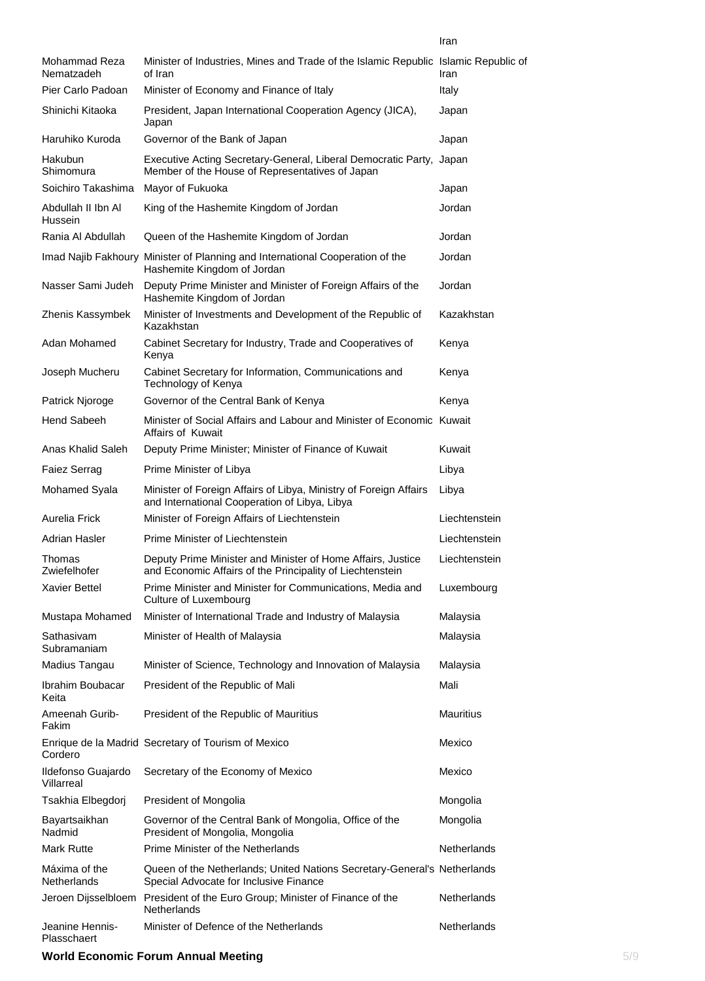| Mohammad Reza<br>Nematzadeh      | Minister of Industries, Mines and Trade of the Islamic Republic Islamic Republic of<br>of Iran                           | Iran               |
|----------------------------------|--------------------------------------------------------------------------------------------------------------------------|--------------------|
| Pier Carlo Padoan                | Minister of Economy and Finance of Italy                                                                                 | Italy              |
| Shinichi Kitaoka                 | President, Japan International Cooperation Agency (JICA),<br>Japan                                                       | Japan              |
| Haruhiko Kuroda                  | Governor of the Bank of Japan                                                                                            | Japan              |
| Hakubun<br>Shimomura             | Executive Acting Secretary-General, Liberal Democratic Party, Japan<br>Member of the House of Representatives of Japan   |                    |
| Soichiro Takashima               | Mayor of Fukuoka                                                                                                         | Japan              |
| Abdullah II Ibn Al<br>Hussein    | King of the Hashemite Kingdom of Jordan                                                                                  | Jordan             |
| Rania Al Abdullah                | Queen of the Hashemite Kingdom of Jordan                                                                                 | Jordan             |
|                                  | Imad Najib Fakhoury Minister of Planning and International Cooperation of the<br>Hashemite Kingdom of Jordan             | Jordan             |
| Nasser Sami Judeh                | Deputy Prime Minister and Minister of Foreign Affairs of the<br>Hashemite Kingdom of Jordan                              | Jordan             |
| Zhenis Kassymbek                 | Minister of Investments and Development of the Republic of<br>Kazakhstan                                                 | Kazakhstan         |
| Adan Mohamed                     | Cabinet Secretary for Industry, Trade and Cooperatives of<br>Kenya                                                       | Kenya              |
| Joseph Mucheru                   | Cabinet Secretary for Information, Communications and<br>Technology of Kenya                                             | Kenya              |
| Patrick Njoroge                  | Governor of the Central Bank of Kenya                                                                                    | Kenya              |
| Hend Sabeeh                      | Minister of Social Affairs and Labour and Minister of Economic Kuwait<br><b>Affairs of Kuwait</b>                        |                    |
| Anas Khalid Saleh                | Deputy Prime Minister; Minister of Finance of Kuwait                                                                     | Kuwait             |
| <b>Faiez Serrag</b>              | Prime Minister of Libya                                                                                                  | Libya              |
| Mohamed Syala                    | Minister of Foreign Affairs of Libya, Ministry of Foreign Affairs<br>and International Cooperation of Libya, Libya       | Libya              |
| Aurelia Frick                    | Minister of Foreign Affairs of Liechtenstein                                                                             | Liechtenstein      |
| Adrian Hasler                    | Prime Minister of Liechtenstein                                                                                          | Liechtenstein      |
| Thomas<br>Zwiefelhofer           | Deputy Prime Minister and Minister of Home Affairs, Justice<br>and Economic Affairs of the Principality of Liechtenstein | Liechtenstein      |
| <b>Xavier Bettel</b>             | Prime Minister and Minister for Communications, Media and<br>Culture of Luxembourg                                       | Luxembourg         |
| Mustapa Mohamed                  | Minister of International Trade and Industry of Malaysia                                                                 | Malaysia           |
| Sathasivam<br>Subramaniam        | Minister of Health of Malaysia                                                                                           | Malaysia           |
| Madius Tangau                    | Minister of Science, Technology and Innovation of Malaysia                                                               | Malaysia           |
| Ibrahim Boubacar<br>Keita        | President of the Republic of Mali                                                                                        | Mali               |
| Ameenah Gurib-<br>Fakim          | President of the Republic of Mauritius                                                                                   | <b>Mauritius</b>   |
| Cordero                          | Enrique de la Madrid Secretary of Tourism of Mexico                                                                      | Mexico             |
| Ildefonso Guajardo<br>Villarreal | Secretary of the Economy of Mexico                                                                                       | Mexico             |
| Tsakhia Elbegdorj                | President of Mongolia                                                                                                    | Mongolia           |
| Bayartsaikhan<br>Nadmid          | Governor of the Central Bank of Mongolia, Office of the<br>President of Mongolia, Mongolia                               | Mongolia           |
| Mark Rutte                       | Prime Minister of the Netherlands                                                                                        | <b>Netherlands</b> |
| Máxima of the<br>Netherlands     | Queen of the Netherlands; United Nations Secretary-General's Netherlands<br>Special Advocate for Inclusive Finance       |                    |
|                                  | Jeroen Dijsselbloem President of the Euro Group; Minister of Finance of the<br>Netherlands                               | Netherlands        |
| Jeanine Hennis-<br>Plasschaert   | Minister of Defence of the Netherlands                                                                                   | Netherlands        |

### **World Economic Forum Annual Meeting <b>S** 5/9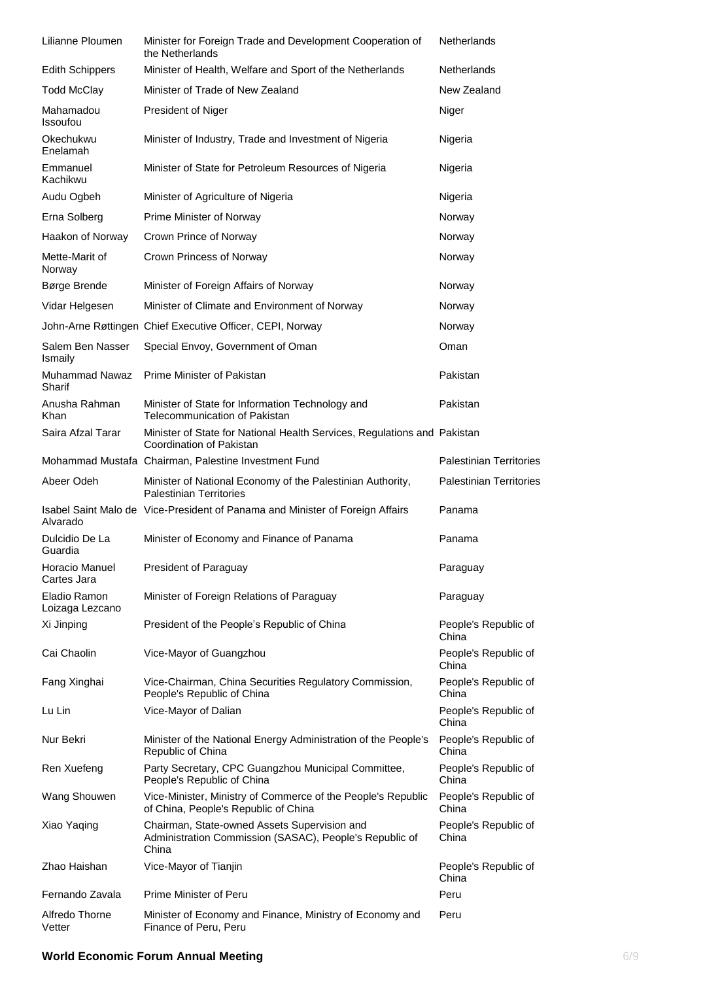| Lilianne Ploumen                | Minister for Foreign Trade and Development Cooperation of<br>the Netherlands                                     | Netherlands                    |
|---------------------------------|------------------------------------------------------------------------------------------------------------------|--------------------------------|
| <b>Edith Schippers</b>          | Minister of Health, Welfare and Sport of the Netherlands                                                         | <b>Netherlands</b>             |
| <b>Todd McClay</b>              | Minister of Trade of New Zealand                                                                                 | New Zealand                    |
| Mahamadou<br><b>Issoufou</b>    | President of Niger                                                                                               | Niger                          |
| Okechukwu<br>Enelamah           | Minister of Industry, Trade and Investment of Nigeria                                                            | Nigeria                        |
| Emmanuel<br>Kachikwu            | Minister of State for Petroleum Resources of Nigeria                                                             | Nigeria                        |
| Audu Ogbeh                      | Minister of Agriculture of Nigeria                                                                               | Nigeria                        |
| Erna Solberg                    | Prime Minister of Norway                                                                                         | Norway                         |
| Haakon of Norway                | Crown Prince of Norway                                                                                           | Norway                         |
| Mette-Marit of<br>Norway        | Crown Princess of Norway                                                                                         | Norway                         |
| Børge Brende                    | Minister of Foreign Affairs of Norway                                                                            | Norway                         |
| Vidar Helgesen                  | Minister of Climate and Environment of Norway                                                                    | Norway                         |
|                                 | John-Arne Røttingen Chief Executive Officer, CEPI, Norway                                                        | Norway                         |
| Salem Ben Nasser<br>Ismaily     | Special Envoy, Government of Oman                                                                                | Oman                           |
| <b>Muhammad Nawaz</b><br>Sharif | Prime Minister of Pakistan                                                                                       | Pakistan                       |
| Anusha Rahman<br>Khan           | Minister of State for Information Technology and<br><b>Telecommunication of Pakistan</b>                         | Pakistan                       |
| Saira Afzal Tarar               | Minister of State for National Health Services, Regulations and Pakistan<br>Coordination of Pakistan             |                                |
|                                 | Mohammad Mustafa Chairman, Palestine Investment Fund                                                             | <b>Palestinian Territories</b> |
| Abeer Odeh                      | Minister of National Economy of the Palestinian Authority,<br><b>Palestinian Territories</b>                     | <b>Palestinian Territories</b> |
| Alvarado                        | Isabel Saint Malo de Vice-President of Panama and Minister of Foreign Affairs                                    | Panama                         |
| Dulcidio De La<br>Guardia       | Minister of Economy and Finance of Panama                                                                        | Panama                         |
| Horacio Manuel<br>Cartes Jara   | President of Paraguay                                                                                            | Paraguay                       |
| Eladio Ramon<br>Loizaga Lezcano | Minister of Foreign Relations of Paraguay                                                                        | Paraguay                       |
| Xi Jinping                      | President of the People's Republic of China                                                                      | People's Republic of<br>China  |
| Cai Chaolin                     | Vice-Mayor of Guangzhou                                                                                          | People's Republic of<br>China  |
| Fang Xinghai                    | Vice-Chairman, China Securities Regulatory Commission,<br>People's Republic of China                             | People's Republic of<br>China  |
| Lu Lin                          | Vice-Mayor of Dalian                                                                                             | People's Republic of<br>China  |
| Nur Bekri                       | Minister of the National Energy Administration of the People's<br>Republic of China                              | People's Republic of<br>China  |
| Ren Xuefeng                     | Party Secretary, CPC Guangzhou Municipal Committee,<br>People's Republic of China                                | People's Republic of<br>China  |
| Wang Shouwen                    | Vice-Minister, Ministry of Commerce of the People's Republic<br>of China, People's Republic of China             | People's Republic of<br>China  |
| Xiao Yaqing                     | Chairman, State-owned Assets Supervision and<br>Administration Commission (SASAC), People's Republic of<br>China | People's Republic of<br>China  |
| Zhao Haishan                    | Vice-Mayor of Tianjin                                                                                            | People's Republic of<br>China  |
| Fernando Zavala                 | <b>Prime Minister of Peru</b>                                                                                    | Peru                           |
| Alfredo Thorne<br>Vetter        | Minister of Economy and Finance, Ministry of Economy and<br>Finance of Peru, Peru                                | Peru                           |

### **World Economic Forum Annual Meeting and Service 2008 100 Service 2009 6/9**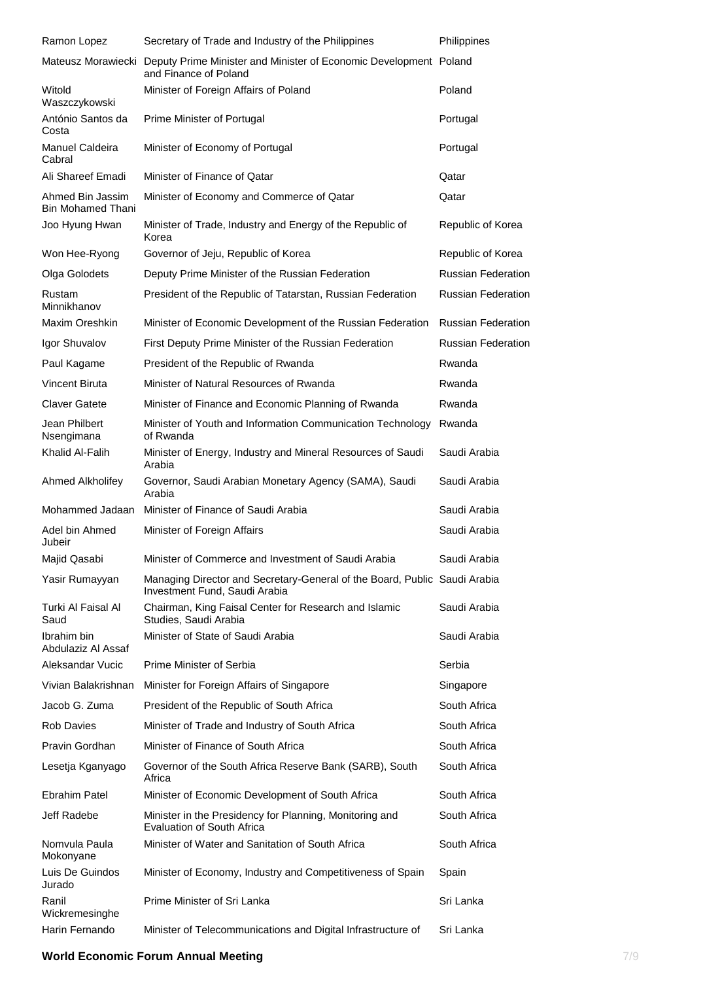| Ramon Lopez                                  | Secretary of Trade and Industry of the Philippines                                                            | Philippines               |
|----------------------------------------------|---------------------------------------------------------------------------------------------------------------|---------------------------|
|                                              | Mateusz Morawiecki Deputy Prime Minister and Minister of Economic Development Poland<br>and Finance of Poland |                           |
| Witold<br>Waszczykowski                      | Minister of Foreign Affairs of Poland                                                                         | Poland                    |
| António Santos da<br>Costa                   | Prime Minister of Portugal                                                                                    | Portugal                  |
| Manuel Caldeira<br>Cabral                    | Minister of Economy of Portugal                                                                               | Portugal                  |
| Ali Shareef Emadi                            | Minister of Finance of Oatar                                                                                  | Qatar                     |
| Ahmed Bin Jassim<br><b>Bin Mohamed Thani</b> | Minister of Economy and Commerce of Qatar                                                                     | Qatar                     |
| Joo Hyung Hwan                               | Minister of Trade, Industry and Energy of the Republic of<br>Korea                                            | Republic of Korea         |
| Won Hee-Ryong                                | Governor of Jeju, Republic of Korea                                                                           | Republic of Korea         |
| Olga Golodets                                | Deputy Prime Minister of the Russian Federation                                                               | <b>Russian Federation</b> |
| Rustam<br>Minnikhanov                        | President of the Republic of Tatarstan, Russian Federation                                                    | <b>Russian Federation</b> |
| Maxim Oreshkin                               | Minister of Economic Development of the Russian Federation                                                    | <b>Russian Federation</b> |
| Igor Shuvalov                                | First Deputy Prime Minister of the Russian Federation                                                         | <b>Russian Federation</b> |
| Paul Kagame                                  | President of the Republic of Rwanda                                                                           | Rwanda                    |
| Vincent Biruta                               | Minister of Natural Resources of Rwanda                                                                       | Rwanda                    |
| Claver Gatete                                | Minister of Finance and Economic Planning of Rwanda                                                           | Rwanda                    |
| Jean Philbert<br>Nsengimana                  | Minister of Youth and Information Communication Technology<br>of Rwanda                                       | Rwanda                    |
| Khalid Al-Falih                              | Minister of Energy, Industry and Mineral Resources of Saudi<br>Arabia                                         | Saudi Arabia              |
| Ahmed Alkholifey                             | Governor, Saudi Arabian Monetary Agency (SAMA), Saudi<br>Arabia                                               | Saudi Arabia              |
| Mohammed Jadaan                              | Minister of Finance of Saudi Arabia                                                                           | Saudi Arabia              |
| Adel bin Ahmed<br>Jubeir                     | Minister of Foreign Affairs                                                                                   | Saudi Arabia              |
| Majid Qasabi                                 | Minister of Commerce and Investment of Saudi Arabia                                                           | Saudi Arabia              |
| Yasir Rumayyan                               | Managing Director and Secretary-General of the Board, Public Saudi Arabia<br>Investment Fund, Saudi Arabia    |                           |
| Turki Al Faisal Al<br>Saud                   | Chairman, King Faisal Center for Research and Islamic<br>Studies, Saudi Arabia                                | Saudi Arabia              |
| Ibrahim bin<br>Abdulaziz Al Assaf            | Minister of State of Saudi Arabia                                                                             | Saudi Arabia              |
| Aleksandar Vucic                             | Prime Minister of Serbia                                                                                      | Serbia                    |
| Vivian Balakrishnan                          | Minister for Foreign Affairs of Singapore                                                                     | Singapore                 |
| Jacob G. Zuma                                | President of the Republic of South Africa                                                                     | South Africa              |
| <b>Rob Davies</b>                            | Minister of Trade and Industry of South Africa                                                                | South Africa              |
| Pravin Gordhan                               | Minister of Finance of South Africa                                                                           | South Africa              |
| Lesetja Kganyago                             | Governor of the South Africa Reserve Bank (SARB), South<br>Africa                                             | South Africa              |
| Ebrahim Patel                                | Minister of Economic Development of South Africa                                                              | South Africa              |
| Jeff Radebe                                  | Minister in the Presidency for Planning, Monitoring and<br><b>Evaluation of South Africa</b>                  | South Africa              |
| Nomvula Paula<br>Mokonyane                   | Minister of Water and Sanitation of South Africa                                                              | South Africa              |
| Luis De Guindos<br>Jurado                    | Minister of Economy, Industry and Competitiveness of Spain                                                    | Spain                     |
| Ranil<br>Wickremesinghe                      | Prime Minister of Sri Lanka                                                                                   | Sri Lanka                 |
| Harin Fernando                               | Minister of Telecommunications and Digital Infrastructure of                                                  | Sri Lanka                 |

### **World Economic Forum Annual Meeting The State of The State of The State of The State of The Theorem 2008 The Theorem 2008 The Theorem 2008 The Theorem 2008 The Theorem 2008 The Theorem 2008 The Theorem 2008 The Theorem 20**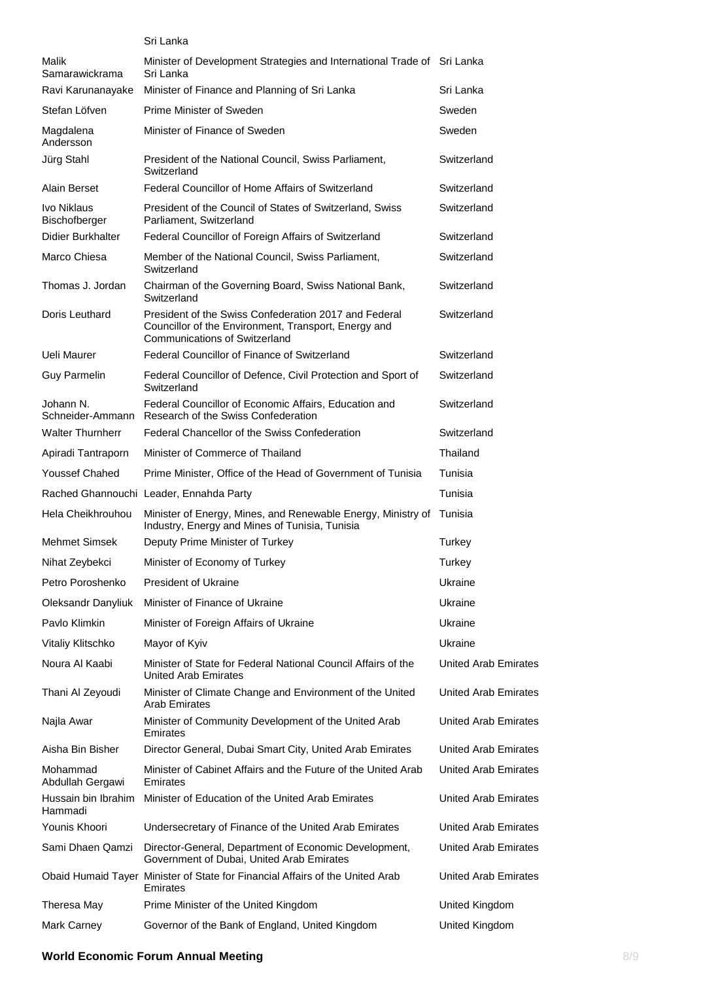|                                | Sri Lanka                                                                                                                                             |                             |
|--------------------------------|-------------------------------------------------------------------------------------------------------------------------------------------------------|-----------------------------|
| Malik<br>Samarawickrama        | Minister of Development Strategies and International Trade of Sri Lanka<br>Sri Lanka                                                                  |                             |
| Ravi Karunanayake              | Minister of Finance and Planning of Sri Lanka                                                                                                         | Sri Lanka                   |
| Stefan Löfven                  | Prime Minister of Sweden                                                                                                                              | Sweden                      |
| Magdalena<br>Andersson         | Minister of Finance of Sweden                                                                                                                         | Sweden                      |
| Jürg Stahl                     | President of the National Council, Swiss Parliament,<br>Switzerland                                                                                   | Switzerland                 |
| Alain Berset                   | Federal Councillor of Home Affairs of Switzerland                                                                                                     | Switzerland                 |
| Ivo Niklaus<br>Bischofberger   | President of the Council of States of Switzerland, Swiss<br>Parliament, Switzerland                                                                   | Switzerland                 |
| <b>Didier Burkhalter</b>       | Federal Councillor of Foreign Affairs of Switzerland                                                                                                  | Switzerland                 |
| Marco Chiesa                   | Member of the National Council, Swiss Parliament,<br>Switzerland                                                                                      | Switzerland                 |
| Thomas J. Jordan               | Chairman of the Governing Board, Swiss National Bank,<br>Switzerland                                                                                  | Switzerland                 |
| Doris Leuthard                 | President of the Swiss Confederation 2017 and Federal<br>Councillor of the Environment, Transport, Energy and<br><b>Communications of Switzerland</b> | Switzerland                 |
| Ueli Maurer                    | Federal Councillor of Finance of Switzerland                                                                                                          | Switzerland                 |
| <b>Guy Parmelin</b>            | Federal Councillor of Defence, Civil Protection and Sport of<br>Switzerland                                                                           | Switzerland                 |
| Johann N.                      | Federal Councillor of Economic Affairs, Education and<br>Schneider-Ammann Research of the Swiss Confederation                                         | Switzerland                 |
| <b>Walter Thurnherr</b>        | Federal Chancellor of the Swiss Confederation                                                                                                         | Switzerland                 |
| Apiradi Tantraporn             | Minister of Commerce of Thailand                                                                                                                      | Thailand                    |
| <b>Youssef Chahed</b>          | Prime Minister, Office of the Head of Government of Tunisia                                                                                           | Tunisia                     |
|                                | Rached Ghannouchi Leader, Ennahda Party                                                                                                               | Tunisia                     |
| Hela Cheikhrouhou              | Minister of Energy, Mines, and Renewable Energy, Ministry of<br>Industry, Energy and Mines of Tunisia, Tunisia                                        | Tunisia                     |
| <b>Mehmet Simsek</b>           | Deputy Prime Minister of Turkey                                                                                                                       | Turkey                      |
| Nihat Zeybekci                 | Minister of Economy of Turkey                                                                                                                         | Turkey                      |
| Petro Poroshenko               | President of Ukraine                                                                                                                                  | Ukraine                     |
| Oleksandr Danyliuk             | Minister of Finance of Ukraine                                                                                                                        | Ukraine                     |
| Pavlo Klimkin                  | Minister of Foreign Affairs of Ukraine                                                                                                                | Ukraine                     |
| Vitaliy Klitschko              | Mayor of Kyiv                                                                                                                                         | Ukraine                     |
| Noura Al Kaabi                 | Minister of State for Federal National Council Affairs of the<br>United Arab Emirates                                                                 | <b>United Arab Emirates</b> |
| Thani Al Zeyoudi               | Minister of Climate Change and Environment of the United<br><b>Arab Emirates</b>                                                                      | <b>United Arab Emirates</b> |
| Najla Awar                     | Minister of Community Development of the United Arab<br>Emirates                                                                                      | United Arab Emirates        |
| Aisha Bin Bisher               | Director General, Dubai Smart City, United Arab Emirates                                                                                              | United Arab Emirates        |
| Mohammad<br>Abdullah Gergawi   | Minister of Cabinet Affairs and the Future of the United Arab<br>Emirates                                                                             | United Arab Emirates        |
| Hussain bin Ibrahim<br>Hammadi | Minister of Education of the United Arab Emirates                                                                                                     | United Arab Emirates        |
| Younis Khoori                  | Undersecretary of Finance of the United Arab Emirates                                                                                                 | United Arab Emirates        |
| Sami Dhaen Qamzi               | Director-General, Department of Economic Development,<br>Government of Dubai, United Arab Emirates                                                    | United Arab Emirates        |
|                                | Obaid Humaid Tayer Minister of State for Financial Affairs of the United Arab<br>Emirates                                                             | United Arab Emirates        |
| Theresa May                    | Prime Minister of the United Kingdom                                                                                                                  | United Kingdom              |
| Mark Carney                    | Governor of the Bank of England, United Kingdom                                                                                                       | United Kingdom              |

### **World Economic Forum Annual Meeting 8/9 and 8/9 and 8/9 and 8/9 and 8/9 and 8/9 and 8/9 and 8/9 and 8/9 and 8/9 and 8/9 and 8/9 and 8/9 and 8/9 and 8/9 and 8/9 and 8/9 and 8/9 and 8/9 and 8/9 and 8/9 and 8/9 and 8/9 and 8**